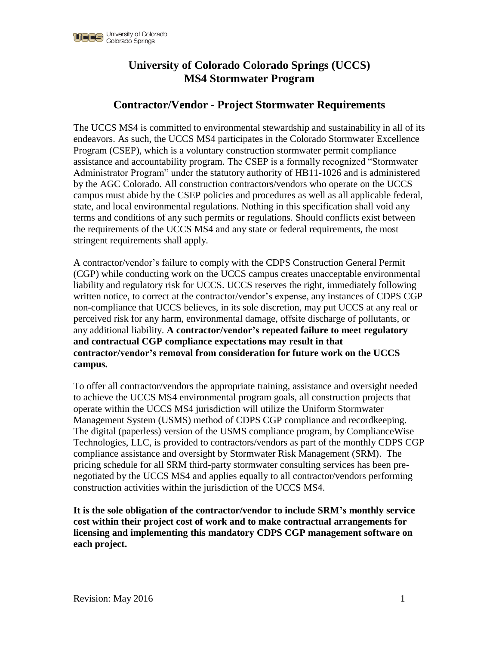

# **University of Colorado Colorado Springs (UCCS) MS4 Stormwater Program**

## **Contractor/Vendor - Project Stormwater Requirements**

The UCCS MS4 is committed to environmental stewardship and sustainability in all of its endeavors. As such, the UCCS MS4 participates in the Colorado Stormwater Excellence Program (CSEP), which is a voluntary construction stormwater permit compliance assistance and accountability program. The CSEP is a formally recognized "Stormwater Administrator Program" under the statutory authority of HB11-1026 and is administered by the AGC Colorado. All construction contractors/vendors who operate on the UCCS campus must abide by the CSEP policies and procedures as well as all applicable federal, state, and local environmental regulations. Nothing in this specification shall void any terms and conditions of any such permits or regulations. Should conflicts exist between the requirements of the UCCS MS4 and any state or federal requirements, the most stringent requirements shall apply.

A contractor/vendor's failure to comply with the CDPS Construction General Permit (CGP) while conducting work on the UCCS campus creates unacceptable environmental liability and regulatory risk for UCCS. UCCS reserves the right, immediately following written notice, to correct at the contractor/vendor's expense, any instances of CDPS CGP non-compliance that UCCS believes, in its sole discretion, may put UCCS at any real or perceived risk for any harm, environmental damage, offsite discharge of pollutants, or any additional liability. **A contractor/vendor's repeated failure to meet regulatory and contractual CGP compliance expectations may result in that contractor/vendor's removal from consideration for future work on the UCCS campus.**

To offer all contractor/vendors the appropriate training, assistance and oversight needed to achieve the UCCS MS4 environmental program goals, all construction projects that operate within the UCCS MS4 jurisdiction will utilize the Uniform Stormwater Management System (USMS) method of CDPS CGP compliance and recordkeeping. The digital (paperless) version of the USMS compliance program, by ComplianceWise Technologies, LLC, is provided to contractors/vendors as part of the monthly CDPS CGP compliance assistance and oversight by Stormwater Risk Management (SRM). The pricing schedule for all SRM third-party stormwater consulting services has been prenegotiated by the UCCS MS4 and applies equally to all contractor/vendors performing construction activities within the jurisdiction of the UCCS MS4.

**It is the sole obligation of the contractor/vendor to include SRM's monthly service cost within their project cost of work and to make contractual arrangements for licensing and implementing this mandatory CDPS CGP management software on each project.**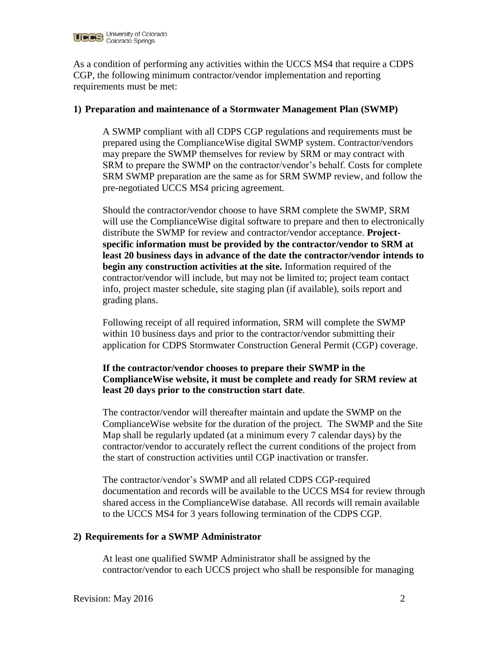

As a condition of performing any activities within the UCCS MS4 that require a CDPS CGP, the following minimum contractor/vendor implementation and reporting requirements must be met:

#### **1) Preparation and maintenance of a Stormwater Management Plan (SWMP)**

A SWMP compliant with all CDPS CGP regulations and requirements must be prepared using the ComplianceWise digital SWMP system. Contractor/vendors may prepare the SWMP themselves for review by SRM or may contract with SRM to prepare the SWMP on the contractor/vendor's behalf. Costs for complete SRM SWMP preparation are the same as for SRM SWMP review, and follow the pre-negotiated UCCS MS4 pricing agreement.

Should the contractor/vendor choose to have SRM complete the SWMP, SRM will use the ComplianceWise digital software to prepare and then to electronically distribute the SWMP for review and contractor/vendor acceptance. **Projectspecific information must be provided by the contractor/vendor to SRM at least 20 business days in advance of the date the contractor/vendor intends to begin any construction activities at the site.** Information required of the contractor/vendor will include, but may not be limited to; project team contact info, project master schedule, site staging plan (if available), soils report and grading plans.

Following receipt of all required information, SRM will complete the SWMP within 10 business days and prior to the contractor/vendor submitting their application for CDPS Stormwater Construction General Permit (CGP) coverage.

## **If the contractor/vendor chooses to prepare their SWMP in the ComplianceWise website, it must be complete and ready for SRM review at least 20 days prior to the construction start date**.

The contractor/vendor will thereafter maintain and update the SWMP on the ComplianceWise website for the duration of the project. The SWMP and the Site Map shall be regularly updated (at a minimum every 7 calendar days) by the contractor/vendor to accurately reflect the current conditions of the project from the start of construction activities until CGP inactivation or transfer.

The contractor/vendor's SWMP and all related CDPS CGP-required documentation and records will be available to the UCCS MS4 for review through shared access in the ComplianceWise database. All records will remain available to the UCCS MS4 for 3 years following termination of the CDPS CGP.

#### **2) Requirements for a SWMP Administrator**

At least one qualified SWMP Administrator shall be assigned by the contractor/vendor to each UCCS project who shall be responsible for managing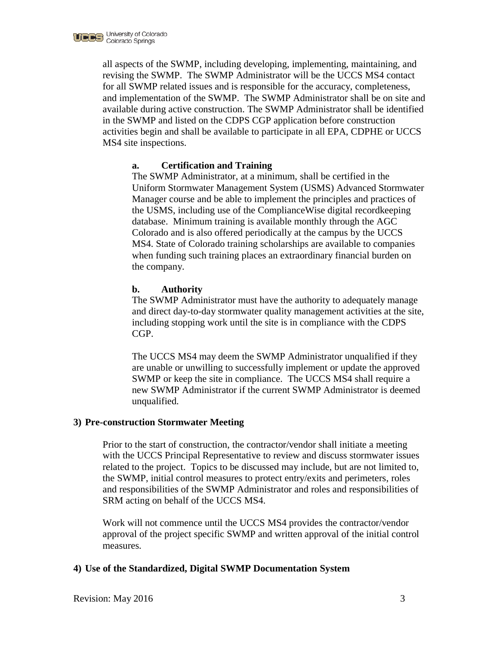

all aspects of the SWMP, including developing, implementing, maintaining, and revising the SWMP. The SWMP Administrator will be the UCCS MS4 contact for all SWMP related issues and is responsible for the accuracy, completeness, and implementation of the SWMP. The SWMP Administrator shall be on site and available during active construction. The SWMP Administrator shall be identified in the SWMP and listed on the CDPS CGP application before construction activities begin and shall be available to participate in all EPA, CDPHE or UCCS MS4 site inspections.

## **a. Certification and Training**

The SWMP Administrator, at a minimum, shall be certified in the Uniform Stormwater Management System (USMS) Advanced Stormwater Manager course and be able to implement the principles and practices of the USMS, including use of the ComplianceWise digital recordkeeping database. Minimum training is available monthly through the AGC Colorado and is also offered periodically at the campus by the UCCS MS4. State of Colorado training scholarships are available to companies when funding such training places an extraordinary financial burden on the company.

### **b. Authority**

The SWMP Administrator must have the authority to adequately manage and direct day-to-day stormwater quality management activities at the site, including stopping work until the site is in compliance with the CDPS CGP.

The UCCS MS4 may deem the SWMP Administrator unqualified if they are unable or unwilling to successfully implement or update the approved SWMP or keep the site in compliance. The UCCS MS4 shall require a new SWMP Administrator if the current SWMP Administrator is deemed unqualified.

#### **3) Pre-construction Stormwater Meeting**

Prior to the start of construction, the contractor/vendor shall initiate a meeting with the UCCS Principal Representative to review and discuss stormwater issues related to the project. Topics to be discussed may include, but are not limited to, the SWMP, initial control measures to protect entry/exits and perimeters, roles and responsibilities of the SWMP Administrator and roles and responsibilities of SRM acting on behalf of the UCCS MS4.

Work will not commence until the UCCS MS4 provides the contractor/vendor approval of the project specific SWMP and written approval of the initial control measures.

#### **4) Use of the Standardized, Digital SWMP Documentation System**